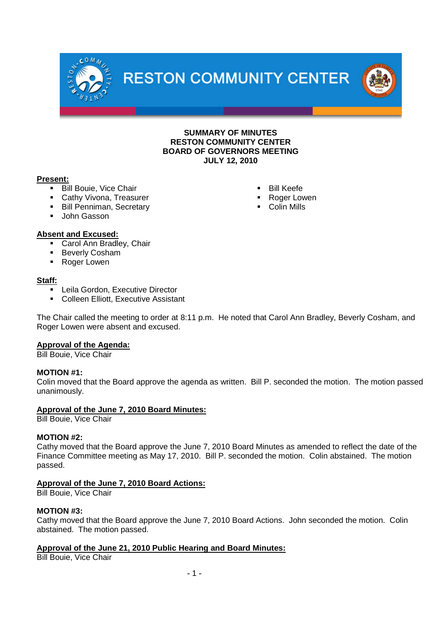**RESTON COMMUNITY CENTER** 



**SUMMARY OF MINUTES RESTON COMMUNITY CENTER BOARD OF GOVERNORS MEETING JULY 12, 2010**

## **Present:**

**Bill Bouie, Vice Chair** 

 $e$  O M.

- Cathy Vivona, Treasurer
- **Bill Penniman, Secretary**
- **John Gasson**
- **Bill Keefe**
- Roger Lowen
- **Colin Mills**

## **Absent and Excused:**

- **Carol Ann Bradley, Chair**
- **Beverly Cosham**
- Roger Lowen

## **Staff:**

- Leila Gordon, Executive Director
- **Colleen Elliott, Executive Assistant**

The Chair called the meeting to order at 8:11 p.m. He noted that Carol Ann Bradley, Beverly Cosham, and Roger Lowen were absent and excused.

# **Approval of the Agenda:**

Bill Bouie, Vice Chair

# **MOTION #1:**

Colin moved that the Board approve the agenda as written. Bill P. seconded the motion. The motion passed unanimously.

## **Approval of the June 7, 2010 Board Minutes:**

Bill Bouie, Vice Chair

## **MOTION #2:**

Cathy moved that the Board approve the June 7, 2010 Board Minutes as amended to reflect the date of the Finance Committee meeting as May 17, 2010. Bill P. seconded the motion. Colin abstained. The motion passed.

# **Approval of the June 7, 2010 Board Actions:**

Bill Bouie, Vice Chair

## **MOTION #3:**

Cathy moved that the Board approve the June 7, 2010 Board Actions. John seconded the motion. Colin abstained. The motion passed.

# **Approval of the June 21, 2010 Public Hearing and Board Minutes:**

Bill Bouie, Vice Chair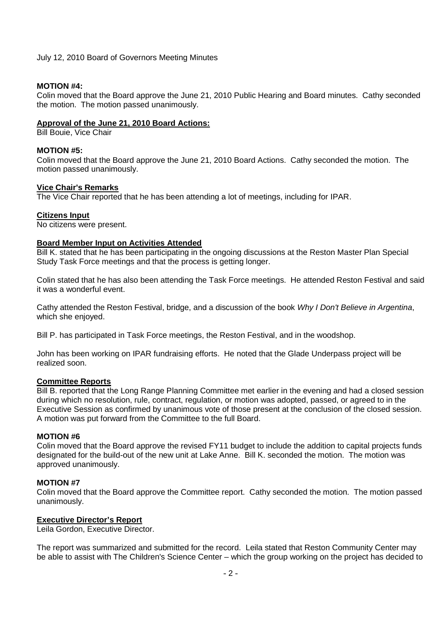## July 12, 2010 Board of Governors Meeting Minutes

## **MOTION #4:**

Colin moved that the Board approve the June 21, 2010 Public Hearing and Board minutes. Cathy seconded the motion. The motion passed unanimously.

## **Approval of the June 21, 2010 Board Actions:**

Bill Bouie, Vice Chair

#### **MOTION #5:**

Colin moved that the Board approve the June 21, 2010 Board Actions. Cathy seconded the motion. The motion passed unanimously.

#### **Vice Chair's Remarks**

The Vice Chair reported that he has been attending a lot of meetings, including for IPAR.

#### **Citizens Input**

No citizens were present.

## **Board Member Input on Activities Attended**

Bill K. stated that he has been participating in the ongoing discussions at the Reston Master Plan Special Study Task Force meetings and that the process is getting longer.

Colin stated that he has also been attending the Task Force meetings. He attended Reston Festival and said it was a wonderful event.

Cathy attended the Reston Festival, bridge, and a discussion of the book *Why I Don't Believe in Argentina*, which she enjoyed.

Bill P. has participated in Task Force meetings, the Reston Festival, and in the woodshop.

John has been working on IPAR fundraising efforts. He noted that the Glade Underpass project will be realized soon.

## **Committee Reports**

Bill B. reported that the Long Range Planning Committee met earlier in the evening and had a closed session during which no resolution, rule, contract, regulation, or motion was adopted, passed, or agreed to in the Executive Session as confirmed by unanimous vote of those present at the conclusion of the closed session. A motion was put forward from the Committee to the full Board.

## **MOTION #6**

Colin moved that the Board approve the revised FY11 budget to include the addition to capital projects funds designated for the build-out of the new unit at Lake Anne. Bill K. seconded the motion. The motion was approved unanimously.

#### **MOTION #7**

Colin moved that the Board approve the Committee report. Cathy seconded the motion. The motion passed unanimously.

## **Executive Director's Report**

Leila Gordon, Executive Director.

The report was summarized and submitted for the record. Leila stated that Reston Community Center may be able to assist with The Children's Science Center – which the group working on the project has decided to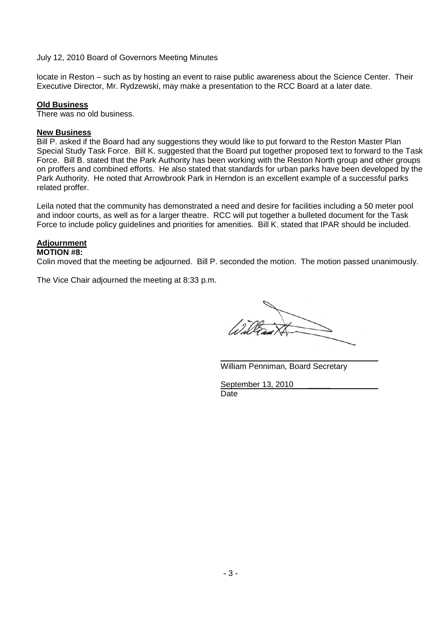## July 12, 2010 Board of Governors Meeting Minutes

locate in Reston – such as by hosting an event to raise public awareness about the Science Center. Their Executive Director, Mr. Rydzewski, may make a presentation to the RCC Board at a later date.

#### **Old Business**

There was no old business.

#### **New Business**

Bill P. asked if the Board had any suggestions they would like to put forward to the Reston Master Plan Special Study Task Force. Bill K. suggested that the Board put together proposed text to forward to the Task Force. Bill B. stated that the Park Authority has been working with the Reston North group and other groups on proffers and combined efforts. He also stated that standards for urban parks have been developed by the Park Authority. He noted that Arrowbrook Park in Herndon is an excellent example of a successful parks related proffer.

Leila noted that the community has demonstrated a need and desire for facilities including a 50 meter pool and indoor courts, as well as for a larger theatre. RCC will put together a bulleted document for the Task Force to include policy guidelines and priorities for amenities. Bill K. stated that IPAR should be included.

## **Adjournment**

#### **MOTION #8:**

Colin moved that the meeting be adjourned. Bill P. seconded the motion. The motion passed unanimously.

The Vice Chair adjourned the meeting at 8:33 p.m.

William Penniman, Board Secretary

September 13, 2010 Date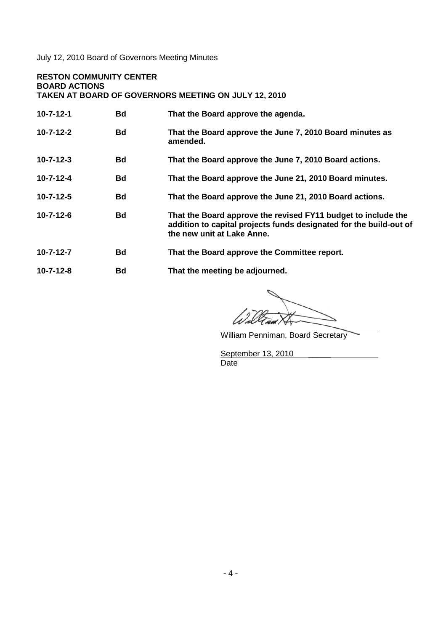July 12, 2010 Board of Governors Meeting Minutes

#### **RESTON COMMUNITY CENTER BOARD ACTIONS**

**TAKEN AT BOARD OF GOVERNORS MEETING ON JULY 12, 2010**

| $10 - 7 - 12 - 1$ | <b>Bd</b> | That the Board approve the agenda.                                                                                                                                |
|-------------------|-----------|-------------------------------------------------------------------------------------------------------------------------------------------------------------------|
| $10 - 7 - 12 - 2$ | <b>Bd</b> | That the Board approve the June 7, 2010 Board minutes as<br>amended.                                                                                              |
| $10 - 7 - 12 - 3$ | <b>Bd</b> | That the Board approve the June 7, 2010 Board actions.                                                                                                            |
| $10 - 7 - 12 - 4$ | <b>Bd</b> | That the Board approve the June 21, 2010 Board minutes.                                                                                                           |
| $10 - 7 - 12 - 5$ | <b>Bd</b> | That the Board approve the June 21, 2010 Board actions.                                                                                                           |
| $10 - 7 - 12 - 6$ | <b>Bd</b> | That the Board approve the revised FY11 budget to include the<br>addition to capital projects funds designated for the build-out of<br>the new unit at Lake Anne. |
| $10 - 7 - 12 - 7$ | <b>Bd</b> | That the Board approve the Committee report.                                                                                                                      |
| $10 - 7 - 12 - 8$ | <b>Bd</b> | That the meeting be adjourned.                                                                                                                                    |

Wal

William Penniman, Board Secretary

 $\overline{\phantom{a}}$ 

September 13, 2010 \_\_\_\_\_\_ Date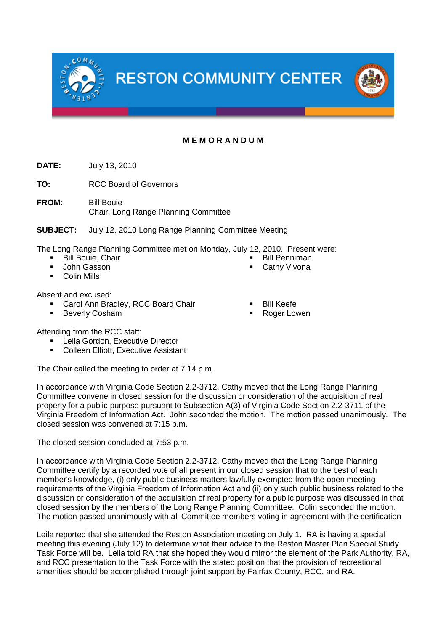

# **M E M O R A N D U M**

**DATE:** July 13, 2010

**TO:** RCC Board of Governors

**FROM**: Bill Bouie Chair, Long Range Planning Committee

**SUBJECT:** July 12, 2010 Long Range Planning Committee Meeting

The Long Range Planning Committee met on Monday, July 12, 2010. Present were: Bill Penniman

- Bill Bouie, Chair
- John Gasson
- Colin Mills

Absent and excused:

- Carol Ann Bradley, RCC Board Chair
- **Beverly Cosham**
- Bill Keefe
- Roger Lowen

Cathy Vivona

Attending from the RCC staff:

- Leila Gordon, Executive Director
- Colleen Elliott, Executive Assistant

The Chair called the meeting to order at 7:14 p.m.

In accordance with Virginia Code Section 2.2-3712, Cathy moved that the Long Range Planning Committee convene in closed session for the discussion or consideration of the acquisition of real property for a public purpose pursuant to Subsection A(3) of Virginia Code Section 2.2-3711 of the Virginia Freedom of Information Act. John seconded the motion. The motion passed unanimously. The closed session was convened at 7:15 p.m.

The closed session concluded at 7:53 p.m.

In accordance with Virginia Code Section 2.2-3712, Cathy moved that the Long Range Planning Committee certify by a recorded vote of all present in our closed session that to the best of each member's knowledge, (i) only public business matters lawfully exempted from the open meeting requirements of the Virginia Freedom of Information Act and (ii) only such public business related to the discussion or consideration of the acquisition of real property for a public purpose was discussed in that closed session by the members of the Long Range Planning Committee. Colin seconded the motion. The motion passed unanimously with all Committee members voting in agreement with the certification

Leila reported that she attended the Reston Association meeting on July 1. RA is having a special meeting this evening (July 12) to determine what their advice to the Reston Master Plan Special Study Task Force will be. Leila told RA that she hoped they would mirror the element of the Park Authority, RA, and RCC presentation to the Task Force with the stated position that the provision of recreational amenities should be accomplished through joint support by Fairfax County, RCC, and RA.